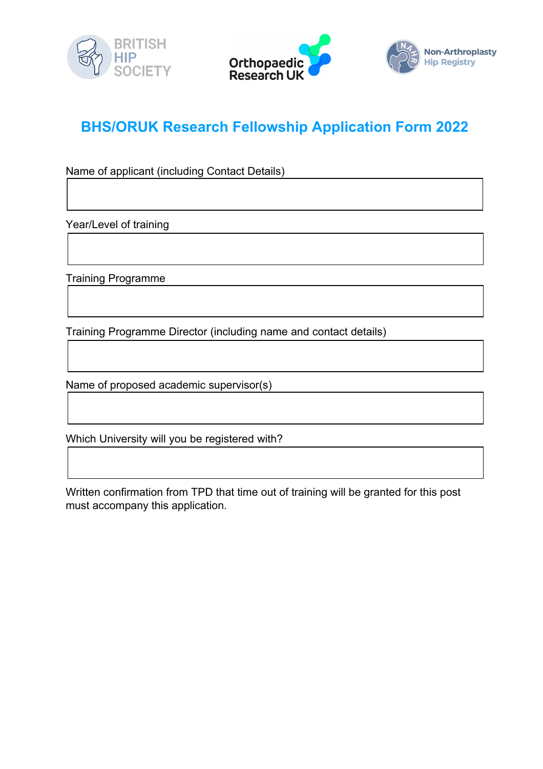



## **BHS/ORUK Research Fellowship Application Form 2022**

Name of applicant (including Contact Details)

Year/Level of training

Training Programme

Training Programme Director (including name and contact details)

Name of proposed academic supervisor(s)

Which University will you be registered with?

Written confirmation from TPD that time out of training will be granted for this post must accompany this application.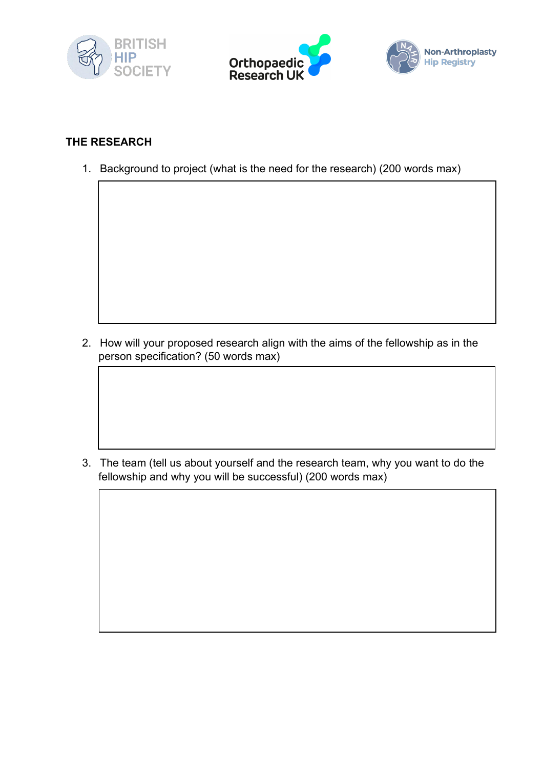





## **THE RESEARCH**

1. Background to project (what is the need for the research) (200 words max)

2. How will your proposed research align with the aims of the fellowship as in the person specification? (50 words max)

3. The team (tell us about yourself and the research team, why you want to do the fellowship and why you will be successful) (200 words max)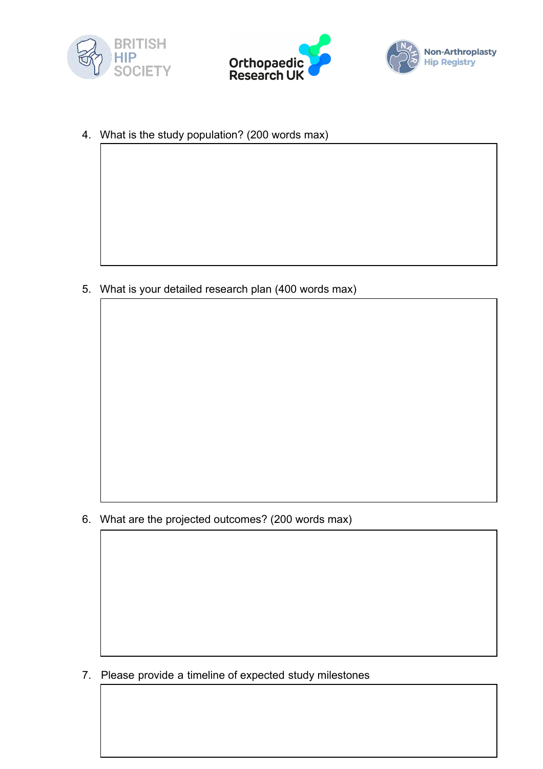





4. What is the study population? (200 words max)

5. What is your detailed research plan (400 words max)

6. What are the projected outcomes? (200 words max)

7. Please provide a timeline of expected study milestones